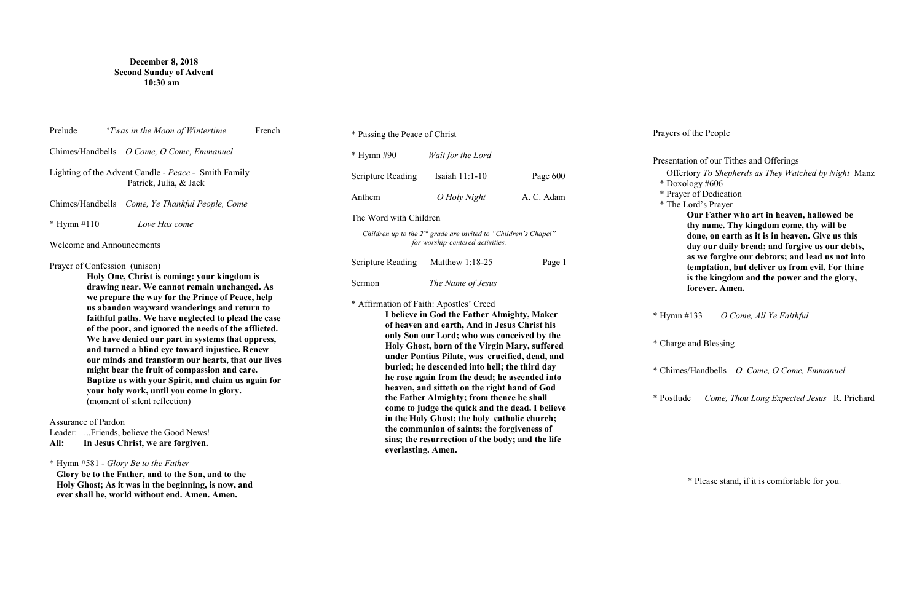## **December 8, 2018 Second Sunday of Advent 10:30 am**

| Prelude<br>'Twas in the Moon of Wintertime<br>French                                                                                                                                                                                                                                                                                                                                                                                                                                                                                                                                                                                                                                                                  | * Passing the Peace of Christ                                                                                                                                                                                                                                                                                                                                                                                                                                                                                                                                                                                                                                                                                       |                   |            |
|-----------------------------------------------------------------------------------------------------------------------------------------------------------------------------------------------------------------------------------------------------------------------------------------------------------------------------------------------------------------------------------------------------------------------------------------------------------------------------------------------------------------------------------------------------------------------------------------------------------------------------------------------------------------------------------------------------------------------|---------------------------------------------------------------------------------------------------------------------------------------------------------------------------------------------------------------------------------------------------------------------------------------------------------------------------------------------------------------------------------------------------------------------------------------------------------------------------------------------------------------------------------------------------------------------------------------------------------------------------------------------------------------------------------------------------------------------|-------------------|------------|
| Chimes/Handbells O Come, O Come, Emmanuel                                                                                                                                                                                                                                                                                                                                                                                                                                                                                                                                                                                                                                                                             | $*$ Hymn #90                                                                                                                                                                                                                                                                                                                                                                                                                                                                                                                                                                                                                                                                                                        | Wait for the Lord |            |
| Lighting of the Advent Candle - Peace - Smith Family<br>Patrick, Julia, & Jack                                                                                                                                                                                                                                                                                                                                                                                                                                                                                                                                                                                                                                        | <b>Scripture Reading</b>                                                                                                                                                                                                                                                                                                                                                                                                                                                                                                                                                                                                                                                                                            | Isaiah 11:1-10    | Page 600   |
| Chimes/Handbells Come, Ye Thankful People, Come                                                                                                                                                                                                                                                                                                                                                                                                                                                                                                                                                                                                                                                                       | Anthem                                                                                                                                                                                                                                                                                                                                                                                                                                                                                                                                                                                                                                                                                                              | O Holy Night      | A. C. Adam |
| $*$ Hymn #110<br>Love Has come                                                                                                                                                                                                                                                                                                                                                                                                                                                                                                                                                                                                                                                                                        | The Word with Children                                                                                                                                                                                                                                                                                                                                                                                                                                                                                                                                                                                                                                                                                              |                   |            |
| <b>Welcome and Announcements</b>                                                                                                                                                                                                                                                                                                                                                                                                                                                                                                                                                                                                                                                                                      | Children up to the $2^{nd}$ grade are invited to "Children's Chapel"<br>for worship-centered activities.                                                                                                                                                                                                                                                                                                                                                                                                                                                                                                                                                                                                            |                   |            |
| Prayer of Confession (unison)                                                                                                                                                                                                                                                                                                                                                                                                                                                                                                                                                                                                                                                                                         | <b>Scripture Reading</b>                                                                                                                                                                                                                                                                                                                                                                                                                                                                                                                                                                                                                                                                                            | Matthew 1:18-25   | Page 1     |
| Holy One, Christ is coming: your kingdom is<br>drawing near. We cannot remain unchanged. As                                                                                                                                                                                                                                                                                                                                                                                                                                                                                                                                                                                                                           | Sermon                                                                                                                                                                                                                                                                                                                                                                                                                                                                                                                                                                                                                                                                                                              | The Name of Jesus |            |
| we prepare the way for the Prince of Peace, help<br>us abandon wayward wanderings and return to<br>faithful paths. We have neglected to plead the case<br>of the poor, and ignored the needs of the afflicted.<br>We have denied our part in systems that oppress,<br>and turned a blind eye toward injustice. Renew<br>our minds and transform our hearts, that our lives<br>might bear the fruit of compassion and care.<br>Baptize us with your Spirit, and claim us again for<br>your holy work, until you come in glory.<br>(moment of silent reflection)<br>Assurance of Pardon<br>Leader: Friends, believe the Good News!<br>All:<br>In Jesus Christ, we are forgiven.<br>* Hymn #581 - Glory Be to the Father | * Affirmation of Faith: Apostles' Creed<br>I believe in God the Father Almighty, Maker<br>of heaven and earth, And in Jesus Christ his<br>only Son our Lord; who was conceived by the<br>Holy Ghost, born of the Virgin Mary, suffered<br>under Pontius Pilate, was crucified, dead, and<br>buried; he descended into hell; the third day<br>he rose again from the dead; he ascended into<br>heaven, and sitteth on the right hand of God<br>the Father Almighty; from thence he shall<br>come to judge the quick and the dead. I believe<br>in the Holy Ghost; the holy catholic church;<br>the communion of saints; the forgiveness of<br>sins; the resurrection of the body; and the life<br>everlasting. Amen. |                   |            |
| Glory be to the Father, and to the Son, and to the<br>Holy Ghost; As it was in the beginning, is now, and                                                                                                                                                                                                                                                                                                                                                                                                                                                                                                                                                                                                             |                                                                                                                                                                                                                                                                                                                                                                                                                                                                                                                                                                                                                                                                                                                     |                   |            |

**ever shall be, world without end. Amen. Amen.**

Prayers of the People

Presentation of our Tithes and Offerings Offertory *To Shepherds as They Watched by Night* Manz \* Doxology #606 \* Prayer of Dedication \* The Lord's Prayer **Our Father who art in heaven, hallowed be** 

**thy name. Thy kingdom come, thy will be done, on earth as it is in heaven. Give us this day our daily bread; and forgive us our debts, as we forgive our debtors; and lead us not into temptation, but deliver us from evil. For thine is the kingdom and the power and the glory, forever. Amen.** 

\* Hymn #133 *O Come, All Ye Faithful* 

\* Charge and Blessing

\* Chimes/Handbells *O, Come, O Come, Emmanuel*

\* Postlude *Come, Thou Long Expected Jesus* R. Prichard

\* Please stand, if it is comfortable for you.